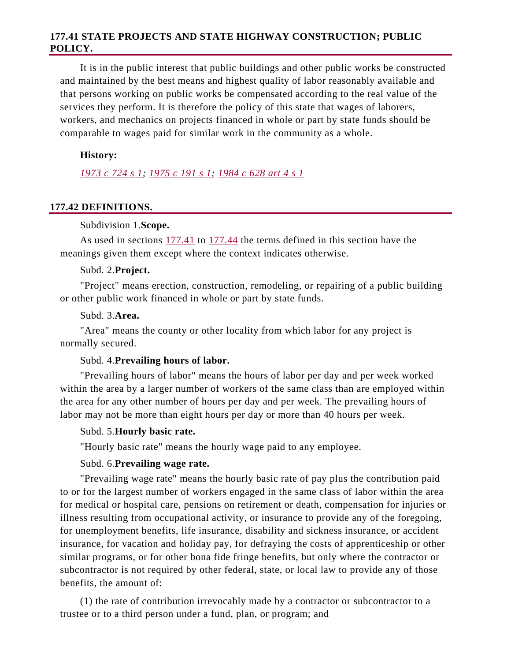# **177.41 STATE PROJECTS AND STATE HIGHWAY CONSTRUCTION; PUBLIC POLICY.**

It is in the public interest that public buildings and other public works be constructed and maintained by the best means and highest quality of labor reasonably available and that persons working on public works be compensated according to the real value of the services they perform. It is therefore the policy of this state that wages of laborers, workers, and mechanics on projects financed in whole or part by state funds should be comparable to wages paid for similar work in the community as a whole.

### **History:**

*1973 c 724 s 1; 1975 c 191 s 1; 1984 c 628 art 4 s 1* 

#### **177.42 DEFINITIONS.**

#### Subdivision 1.**Scope.**

As used in sections 177.41 to 177.44 the terms defined in this section have the meanings given them except where the context indicates otherwise.

#### Subd. 2.**Project.**

"Project" means erection, construction, remodeling, or repairing of a public building or other public work financed in whole or part by state funds.

#### Subd. 3.**Area.**

"Area" means the county or other locality from which labor for any project is normally secured.

#### Subd. 4.**Prevailing hours of labor.**

"Prevailing hours of labor" means the hours of labor per day and per week worked within the area by a larger number of workers of the same class than are employed within the area for any other number of hours per day and per week. The prevailing hours of labor may not be more than eight hours per day or more than 40 hours per week.

# Subd. 5.**Hourly basic rate.**

"Hourly basic rate" means the hourly wage paid to any employee.

# Subd. 6.**Prevailing wage rate.**

"Prevailing wage rate" means the hourly basic rate of pay plus the contribution paid to or for the largest number of workers engaged in the same class of labor within the area for medical or hospital care, pensions on retirement or death, compensation for injuries or illness resulting from occupational activity, or insurance to provide any of the foregoing, for unemployment benefits, life insurance, disability and sickness insurance, or accident insurance, for vacation and holiday pay, for defraying the costs of apprenticeship or other similar programs, or for other bona fide fringe benefits, but only where the contractor or subcontractor is not required by other federal, state, or local law to provide any of those benefits, the amount of:

(1) the rate of contribution irrevocably made by a contractor or subcontractor to a trustee or to a third person under a fund, plan, or program; and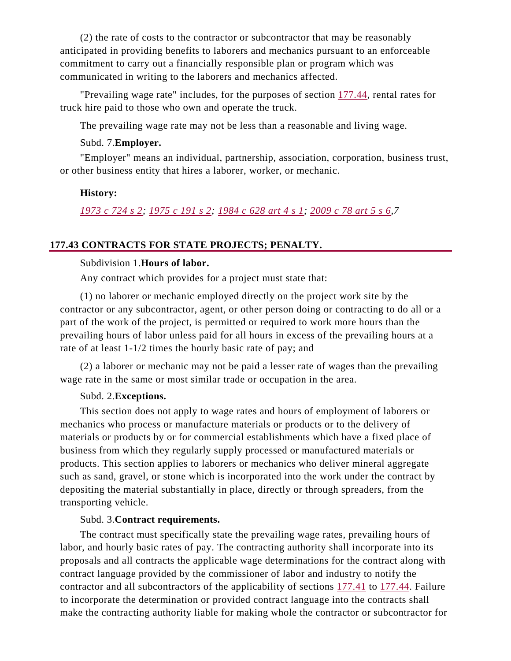(2) the rate of costs to the contractor or subcontractor that may be reasonably anticipated in providing benefits to laborers and mechanics pursuant to an enforceable commitment to carry out a financially responsible plan or program which was communicated in writing to the laborers and mechanics affected.

"Prevailing wage rate" includes, for the purposes of section 177.44, rental rates for truck hire paid to those who own and operate the truck.

The prevailing wage rate may not be less than a reasonable and living wage.

# Subd. 7.**Employer.**

"Employer" means an individual, partnership, association, corporation, business trust, or other business entity that hires a laborer, worker, or mechanic.

# **History:**

*1973 c 724 s 2; 1975 c 191 s 2; 1984 c 628 art 4 s 1; 2009 c 78 art 5 s 6,7* 

## **177.43 CONTRACTS FOR STATE PROJECTS; PENALTY.**

# Subdivision 1.**Hours of labor.**

Any contract which provides for a project must state that:

(1) no laborer or mechanic employed directly on the project work site by the contractor or any subcontractor, agent, or other person doing or contracting to do all or a part of the work of the project, is permitted or required to work more hours than the prevailing hours of labor unless paid for all hours in excess of the prevailing hours at a rate of at least 1-1/2 times the hourly basic rate of pay; and

(2) a laborer or mechanic may not be paid a lesser rate of wages than the prevailing wage rate in the same or most similar trade or occupation in the area.

#### Subd. 2.**Exceptions.**

This section does not apply to wage rates and hours of employment of laborers or mechanics who process or manufacture materials or products or to the delivery of materials or products by or for commercial establishments which have a fixed place of business from which they regularly supply processed or manufactured materials or products. This section applies to laborers or mechanics who deliver mineral aggregate such as sand, gravel, or stone which is incorporated into the work under the contract by depositing the material substantially in place, directly or through spreaders, from the transporting vehicle.

# Subd. 3.**Contract requirements.**

The contract must specifically state the prevailing wage rates, prevailing hours of labor, and hourly basic rates of pay. The contracting authority shall incorporate into its proposals and all contracts the applicable wage determinations for the contract along with contract language provided by the commissioner of labor and industry to notify the contractor and all subcontractors of the applicability of sections 177.41 to 177.44. Failure to incorporate the determination or provided contract language into the contracts shall make the contracting authority liable for making whole the contractor or subcontractor for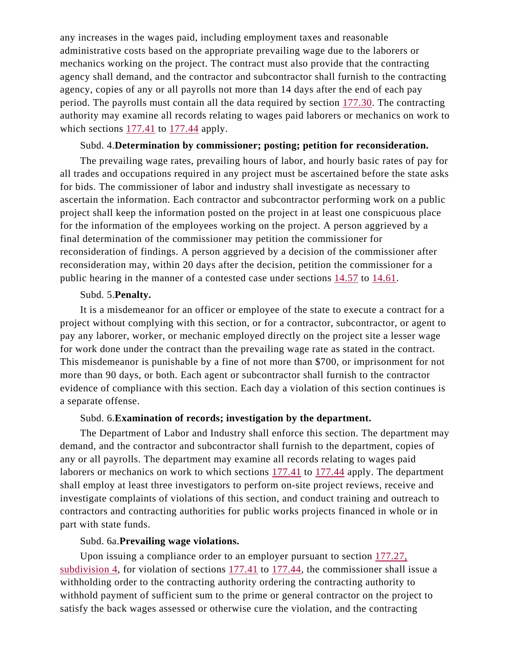any increases in the wages paid, including employment taxes and reasonable administrative costs based on the appropriate prevailing wage due to the laborers or mechanics working on the project. The contract must also provide that the contracting agency shall demand, and the contractor and subcontractor shall furnish to the contracting agency, copies of any or all payrolls not more than 14 days after the end of each pay period. The payrolls must contain all the data required by section 177.30. The contracting authority may examine all records relating to wages paid laborers or mechanics on work to which sections 177.41 to 177.44 apply.

#### Subd. 4.**Determination by commissioner; posting; petition for reconsideration.**

The prevailing wage rates, prevailing hours of labor, and hourly basic rates of pay for all trades and occupations required in any project must be ascertained before the state asks for bids. The commissioner of labor and industry shall investigate as necessary to ascertain the information. Each contractor and subcontractor performing work on a public project shall keep the information posted on the project in at least one conspicuous place for the information of the employees working on the project. A person aggrieved by a final determination of the commissioner may petition the commissioner for reconsideration of findings. A person aggrieved by a decision of the commissioner after reconsideration may, within 20 days after the decision, petition the commissioner for a public hearing in the manner of a contested case under sections 14.57 to 14.61.

#### Subd. 5.**Penalty.**

It is a misdemeanor for an officer or employee of the state to execute a contract for a project without complying with this section, or for a contractor, subcontractor, or agent to pay any laborer, worker, or mechanic employed directly on the project site a lesser wage for work done under the contract than the prevailing wage rate as stated in the contract. This misdemeanor is punishable by a fine of not more than \$700, or imprisonment for not more than 90 days, or both. Each agent or subcontractor shall furnish to the contractor evidence of compliance with this section. Each day a violation of this section continues is a separate offense.

#### Subd. 6.**Examination of records; investigation by the department.**

The Department of Labor and Industry shall enforce this section. The department may demand, and the contractor and subcontractor shall furnish to the department, copies of any or all payrolls. The department may examine all records relating to wages paid laborers or mechanics on work to which sections 177.41 to 177.44 apply. The department shall employ at least three investigators to perform on-site project reviews, receive and investigate complaints of violations of this section, and conduct training and outreach to contractors and contracting authorities for public works projects financed in whole or in part with state funds.

#### Subd. 6a.**Prevailing wage violations.**

Upon issuing a compliance order to an employer pursuant to section 177.27, subdivision 4, for violation of sections 177.41 to 177.44, the commissioner shall issue a withholding order to the contracting authority ordering the contracting authority to withhold payment of sufficient sum to the prime or general contractor on the project to satisfy the back wages assessed or otherwise cure the violation, and the contracting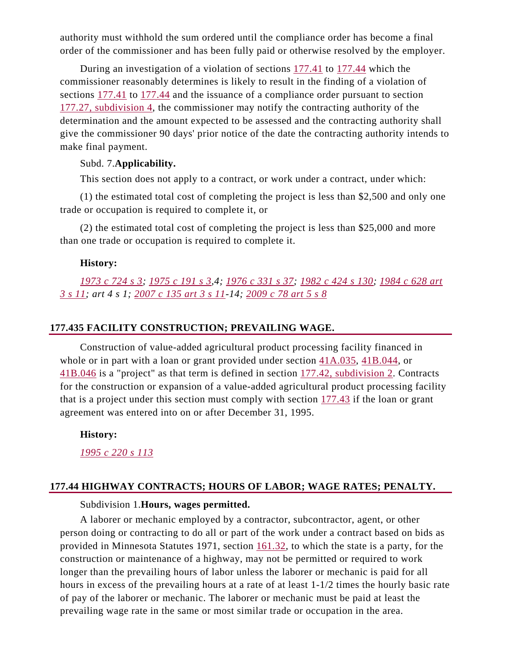authority must withhold the sum ordered until the compliance order has become a final order of the commissioner and has been fully paid or otherwise resolved by the employer.

During an investigation of a violation of sections  $177.41$  to  $177.44$  which the commissioner reasonably determines is likely to result in the finding of a violation of sections 177.41 to 177.44 and the issuance of a compliance order pursuant to section 177.27, subdivision 4, the commissioner may notify the contracting authority of the determination and the amount expected to be assessed and the contracting authority shall give the commissioner 90 days' prior notice of the date the contracting authority intends to make final payment.

#### Subd. 7.**Applicability.**

This section does not apply to a contract, or work under a contract, under which:

(1) the estimated total cost of completing the project is less than \$2,500 and only one trade or occupation is required to complete it, or

(2) the estimated total cost of completing the project is less than \$25,000 and more than one trade or occupation is required to complete it.

# **History:**

*1973 c 724 s 3; 1975 c 191 s 3,4; 1976 c 331 s 37; 1982 c 424 s 130; 1984 c 628 art 3 s 11; art 4 s 1; 2007 c 135 art 3 s 11-14; 2009 c 78 art 5 s 8*

# **177.435 FACILITY CONSTRUCTION; PREVAILING WAGE.**

Construction of value-added agricultural product processing facility financed in whole or in part with a loan or grant provided under section 41A.035, 41B.044, or 41B.046 is a "project" as that term is defined in section 177.42, subdivision 2. Contracts for the construction or expansion of a value-added agricultural product processing facility that is a project under this section must comply with section 177.43 if the loan or grant agreement was entered into on or after December 31, 1995.

**History:** 

*1995 c 220 s 113* 

#### **177.44 HIGHWAY CONTRACTS; HOURS OF LABOR; WAGE RATES; PENALTY.**

# Subdivision 1.**Hours, wages permitted.**

A laborer or mechanic employed by a contractor, subcontractor, agent, or other person doing or contracting to do all or part of the work under a contract based on bids as provided in Minnesota Statutes 1971, section 161.32, to which the state is a party, for the construction or maintenance of a highway, may not be permitted or required to work longer than the prevailing hours of labor unless the laborer or mechanic is paid for all hours in excess of the prevailing hours at a rate of at least 1-1/2 times the hourly basic rate of pay of the laborer or mechanic. The laborer or mechanic must be paid at least the prevailing wage rate in the same or most similar trade or occupation in the area.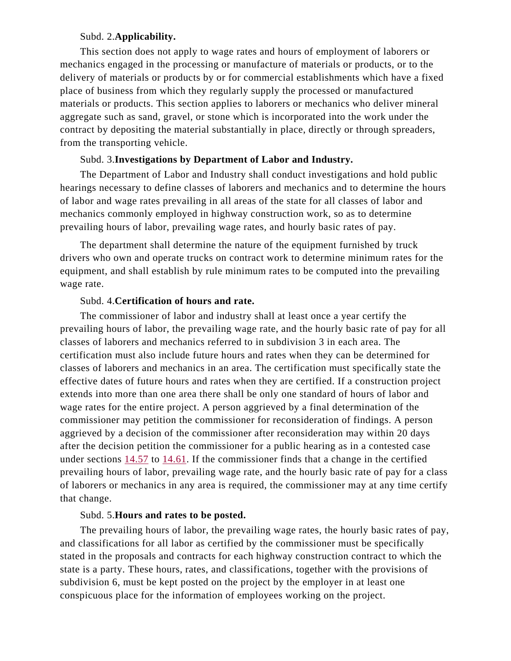#### Subd. 2.**Applicability.**

This section does not apply to wage rates and hours of employment of laborers or mechanics engaged in the processing or manufacture of materials or products, or to the delivery of materials or products by or for commercial establishments which have a fixed place of business from which they regularly supply the processed or manufactured materials or products. This section applies to laborers or mechanics who deliver mineral aggregate such as sand, gravel, or stone which is incorporated into the work under the contract by depositing the material substantially in place, directly or through spreaders, from the transporting vehicle.

#### Subd. 3.**Investigations by Department of Labor and Industry.**

The Department of Labor and Industry shall conduct investigations and hold public hearings necessary to define classes of laborers and mechanics and to determine the hours of labor and wage rates prevailing in all areas of the state for all classes of labor and mechanics commonly employed in highway construction work, so as to determine prevailing hours of labor, prevailing wage rates, and hourly basic rates of pay.

The department shall determine the nature of the equipment furnished by truck drivers who own and operate trucks on contract work to determine minimum rates for the equipment, and shall establish by rule minimum rates to be computed into the prevailing wage rate.

### Subd. 4.**Certification of hours and rate.**

The commissioner of labor and industry shall at least once a year certify the prevailing hours of labor, the prevailing wage rate, and the hourly basic rate of pay for all classes of laborers and mechanics referred to in subdivision 3 in each area. The certification must also include future hours and rates when they can be determined for classes of laborers and mechanics in an area. The certification must specifically state the effective dates of future hours and rates when they are certified. If a construction project extends into more than one area there shall be only one standard of hours of labor and wage rates for the entire project. A person aggrieved by a final determination of the commissioner may petition the commissioner for reconsideration of findings. A person aggrieved by a decision of the commissioner after reconsideration may within 20 days after the decision petition the commissioner for a public hearing as in a contested case under sections 14.57 to 14.61. If the commissioner finds that a change in the certified prevailing hours of labor, prevailing wage rate, and the hourly basic rate of pay for a class of laborers or mechanics in any area is required, the commissioner may at any time certify that change.

#### Subd. 5.**Hours and rates to be posted.**

The prevailing hours of labor, the prevailing wage rates, the hourly basic rates of pay, and classifications for all labor as certified by the commissioner must be specifically stated in the proposals and contracts for each highway construction contract to which the state is a party. These hours, rates, and classifications, together with the provisions of subdivision 6, must be kept posted on the project by the employer in at least one conspicuous place for the information of employees working on the project.